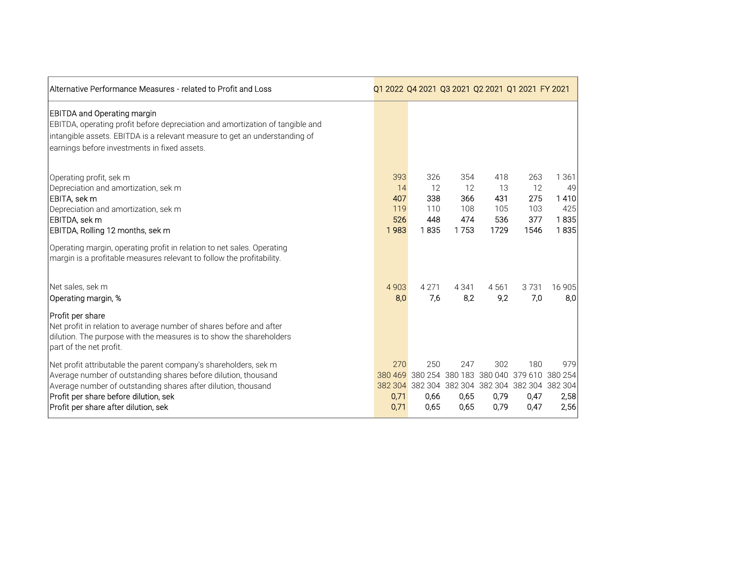| Alternative Performance Measures - related to Profit and Loss                                                                                                                                                                                                                        | Q1 2022 Q4 2021 Q3 2021 Q2 2021 Q1 2021 FY 2021 |                                        |                                        |                                                                                                                   |                                        |                                            |
|--------------------------------------------------------------------------------------------------------------------------------------------------------------------------------------------------------------------------------------------------------------------------------------|-------------------------------------------------|----------------------------------------|----------------------------------------|-------------------------------------------------------------------------------------------------------------------|----------------------------------------|--------------------------------------------|
| <b>EBITDA and Operating margin</b><br>EBITDA, operating profit before depreciation and amortization of tangible and<br>intangible assets. EBITDA is a relevant measure to get an understanding of<br>earnings before investments in fixed assets.                                    |                                                 |                                        |                                        |                                                                                                                   |                                        |                                            |
| Operating profit, sek m<br>Depreciation and amortization, sek m<br>EBITA, sek m<br>Depreciation and amortization, sek m<br>EBITDA, sek m<br>EBITDA, Rolling 12 months, sek m                                                                                                         | 393<br>14<br>407<br>119<br>526<br>1983          | 326<br>12<br>338<br>110<br>448<br>1835 | 354<br>12<br>366<br>108<br>474<br>1753 | 418<br>13<br>431<br>105<br>536<br>1729                                                                            | 263<br>12<br>275<br>103<br>377<br>1546 | 1 361<br>49<br>1410<br>425<br>1835<br>1835 |
| Operating margin, operating profit in relation to net sales. Operating<br>margin is a profitable measures relevant to follow the profitability.                                                                                                                                      |                                                 |                                        |                                        |                                                                                                                   |                                        |                                            |
| Net sales, sek m<br>Operating margin, %                                                                                                                                                                                                                                              | 4903<br>8,0                                     | 4 2 7 1<br>7,6                         | 4 3 4 1<br>8,2                         | 4561<br>9,2                                                                                                       | 3731<br>7,0                            | 16 905<br>8,0                              |
| Profit per share<br>Net profit in relation to average number of shares before and after<br>dilution. The purpose with the measures is to show the shareholders<br>part of the net profit.                                                                                            |                                                 |                                        |                                        |                                                                                                                   |                                        |                                            |
| Net profit attributable the parent company's shareholders, sek m<br>Average number of outstanding shares before dilution, thousand<br>Average number of outstanding shares after dilution, thousand<br>Profit per share before dilution, sek<br>Profit per share after dilution, sek | 270<br>380 469<br>0,71<br>0,71                  | 250<br>0,66<br>0,65                    | 247<br>0,65<br>0,65                    | 302<br>380 254 380 183 380 040 379 610 380 254<br>382 304 382 304 382 304 382 304 382 304 382 304<br>0,79<br>0,79 | 180<br>0,47<br>0,47                    | 979<br>2,58<br>2,56                        |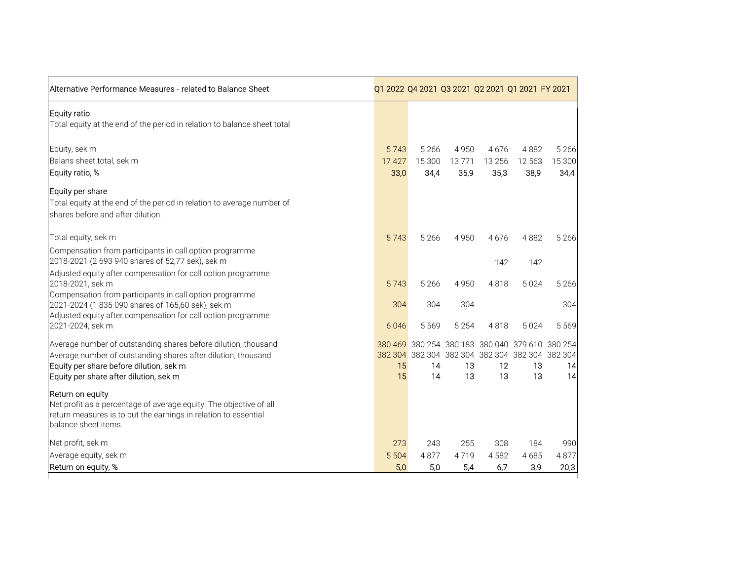| Alternative Performance Measures - related to Balance Sheet                                                                                                                                                          |                       |                           |                       | Q1 2022 Q4 2021 Q3 2021 Q2 2021 Q1 2021 FY 2021                                                                |                        |                           |
|----------------------------------------------------------------------------------------------------------------------------------------------------------------------------------------------------------------------|-----------------------|---------------------------|-----------------------|----------------------------------------------------------------------------------------------------------------|------------------------|---------------------------|
| Equity ratio<br>Total equity at the end of the period in relation to balance sheet total                                                                                                                             |                       |                           |                       |                                                                                                                |                        |                           |
| Equity, sek m<br>Balans sheet total, sek m<br>Equity ratio, %                                                                                                                                                        | 5743<br>17427<br>33,0 | 5 2 6 6<br>15 300<br>34,4 | 4950<br>13771<br>35,9 | 4676<br>13 2 5 6<br>35,3                                                                                       | 4882<br>12 563<br>38,9 | 5 2 6 6<br>15 300<br>34,4 |
| Equity per share<br>Total equity at the end of the period in relation to average number of<br>shares before and after dilution.                                                                                      |                       |                           |                       |                                                                                                                |                        |                           |
| Total equity, sek m                                                                                                                                                                                                  | 5743                  | 5 2 6 6                   | 4 9 5 0               | 4676                                                                                                           | 4882                   | 5 2 6 6                   |
| Compensation from participants in call option programme<br>2018-2021 (2 693 940 shares of 52,77 sek), sek m                                                                                                          |                       |                           |                       | 142                                                                                                            | 142                    |                           |
| Adjusted equity after compensation for call option programme<br>2018-2021, sek m<br>Compensation from participants in call option programme                                                                          | 5743                  | 5 2 6 6                   | 4950                  | 4818                                                                                                           | 5024                   | 5 2 6 6                   |
| 2021-2024 (1 835 090 shares of 165,60 sek), sek m<br>Adjusted equity after compensation for call option programme<br>2021-2024, sek m                                                                                | 304<br>6046           | 304<br>5 5 6 9            | 304<br>5 2 5 4        | 4818                                                                                                           | 5024                   | 304<br>5 5 6 9            |
| Average number of outstanding shares before dilution, thousand<br>Average number of outstanding shares after dilution, thousand<br>Equity per share before dilution, sek m<br>Equity per share after dilution, sek m | 15<br>15              | 14<br>14                  | 13<br>13              | 380 469 380 254 380 183 380 040 379 610 380 254<br>382 304 382 304 382 304 382 304 382 304 382 304<br>12<br>13 | 13<br>13               | 14<br>14                  |
| Return on equity<br>Net profit as a percentage of average equity. The objective of all<br>return measures is to put the earnings in relation to essential<br>balance sheet items.                                    |                       |                           |                       |                                                                                                                |                        |                           |
| Net profit, sek m                                                                                                                                                                                                    | 273                   | 243                       | 255                   | 308                                                                                                            | 184                    | 990                       |
| Average equity, sek m<br>Return on equity, %                                                                                                                                                                         | 5 5 0 4<br>5,0        | 4877<br>5,0               | 4719<br>5,4           | 4582<br>6,7                                                                                                    | 4685<br>3,9            | 4877<br>20,3              |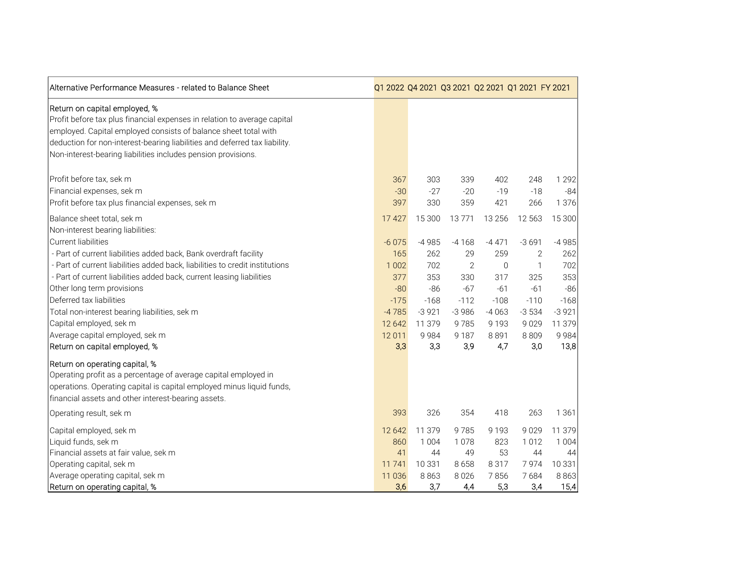| Alternative Performance Measures - related to Balance Sheet                                                                                                                                                                                                                                                                 |         | Q1 2022 Q4 2021 Q3 2021 Q2 2021 Q1 2021 FY 2021 |                |             |              |         |
|-----------------------------------------------------------------------------------------------------------------------------------------------------------------------------------------------------------------------------------------------------------------------------------------------------------------------------|---------|-------------------------------------------------|----------------|-------------|--------------|---------|
| Return on capital employed, %<br>Profit before tax plus financial expenses in relation to average capital<br>employed. Capital employed consists of balance sheet total with<br>deduction for non-interest-bearing liabilities and deferred tax liability.<br>Non-interest-bearing liabilities includes pension provisions. |         |                                                 |                |             |              |         |
| Profit before tax, sek m                                                                                                                                                                                                                                                                                                    | 367     | 303                                             | 339            | 402         | 248          | 1 2 9 2 |
| Financial expenses, sek m                                                                                                                                                                                                                                                                                                   | $-30$   | $-27$                                           | $-20$          | $-19$       | $-18$        | $-84$   |
| Profit before tax plus financial expenses, sek m                                                                                                                                                                                                                                                                            | 397     | 330                                             | 359            | 421         | 266          | 1 376   |
| Balance sheet total, sek m<br>Non-interest bearing liabilities:                                                                                                                                                                                                                                                             | 17 4 27 | 15 300                                          | 13771          | 13 2 5 6    | 12 5 63      | 15 300  |
| <b>Current liabilities</b>                                                                                                                                                                                                                                                                                                  | $-6075$ | $-4985$                                         | $-4168$        | $-4471$     | $-3691$      | $-4985$ |
| - Part of current liabilities added back, Bank overdraft facility                                                                                                                                                                                                                                                           | 165     | 262                                             | 29             | 259         | 2            | 262     |
| - Part of current liabilities added back, liabilities to credit institutions                                                                                                                                                                                                                                                | 1 0 0 2 | 702                                             | $\overline{2}$ | $\mathbf 0$ | $\mathbf{1}$ | 702     |
| - Part of current liabilities added back, current leasing liabilities                                                                                                                                                                                                                                                       | 377     | 353                                             | 330            | 317         | 325          | 353     |
| Other long term provisions                                                                                                                                                                                                                                                                                                  | $-80$   | $-86$                                           | $-67$          | $-61$       | $-61$        | $-86$   |
| Deferred tax liabilities                                                                                                                                                                                                                                                                                                    | $-175$  | $-168$                                          | $-112$         | $-108$      | $-110$       | $-168$  |
| Total non-interest bearing liabilities, sek m                                                                                                                                                                                                                                                                               | $-4785$ | $-3921$                                         | $-3986$        | $-4063$     | $-3534$      | $-3921$ |
| Capital employed, sek m                                                                                                                                                                                                                                                                                                     | 12 642  | 11 379                                          | 9785           | 9 1 9 3     | 9029         | 11 379  |
| Average capital employed, sek m                                                                                                                                                                                                                                                                                             | 12 011  | 9984                                            | 9 1 8 7        | 8891        | 8809         | 9984    |
| Return on capital employed, %                                                                                                                                                                                                                                                                                               | 3,3     | 3,3                                             | 3,9            | 4,7         | 3,0          | 13,8    |
| Return on operating capital, %<br>Operating profit as a percentage of average capital employed in<br>operations. Operating capital is capital employed minus liquid funds,<br>financial assets and other interest-bearing assets.                                                                                           |         |                                                 |                |             |              |         |
| Operating result, sek m                                                                                                                                                                                                                                                                                                     | 393     | 326                                             | 354            | 418         | 263          | 1 3 6 1 |
| Capital employed, sek m                                                                                                                                                                                                                                                                                                     | 12 642  | 11 379                                          | 9785           | 9 1 9 3     | 9029         | 11 379  |
| Liquid funds, sek m                                                                                                                                                                                                                                                                                                         | 860     | 1 0 0 4                                         | 1078           | 823         | 1012         | 1 0 0 4 |
| Financial assets at fair value, sek m                                                                                                                                                                                                                                                                                       | 41      | 44                                              | 49             | 53          | 44           | 44      |
| Operating capital, sek m                                                                                                                                                                                                                                                                                                    | 11 741  | 10 3 31                                         | 8658           | 8317        | 7974         | 10 331  |
| Average operating capital, sek m                                                                                                                                                                                                                                                                                            | 11 0 36 | 8863                                            | 8 0 2 6        | 7856        | 7684         | 8863    |
| Return on operating capital, %                                                                                                                                                                                                                                                                                              | 3,6     | 3,7                                             | 4,4            | 5,3         | 3,4          | 15,4    |